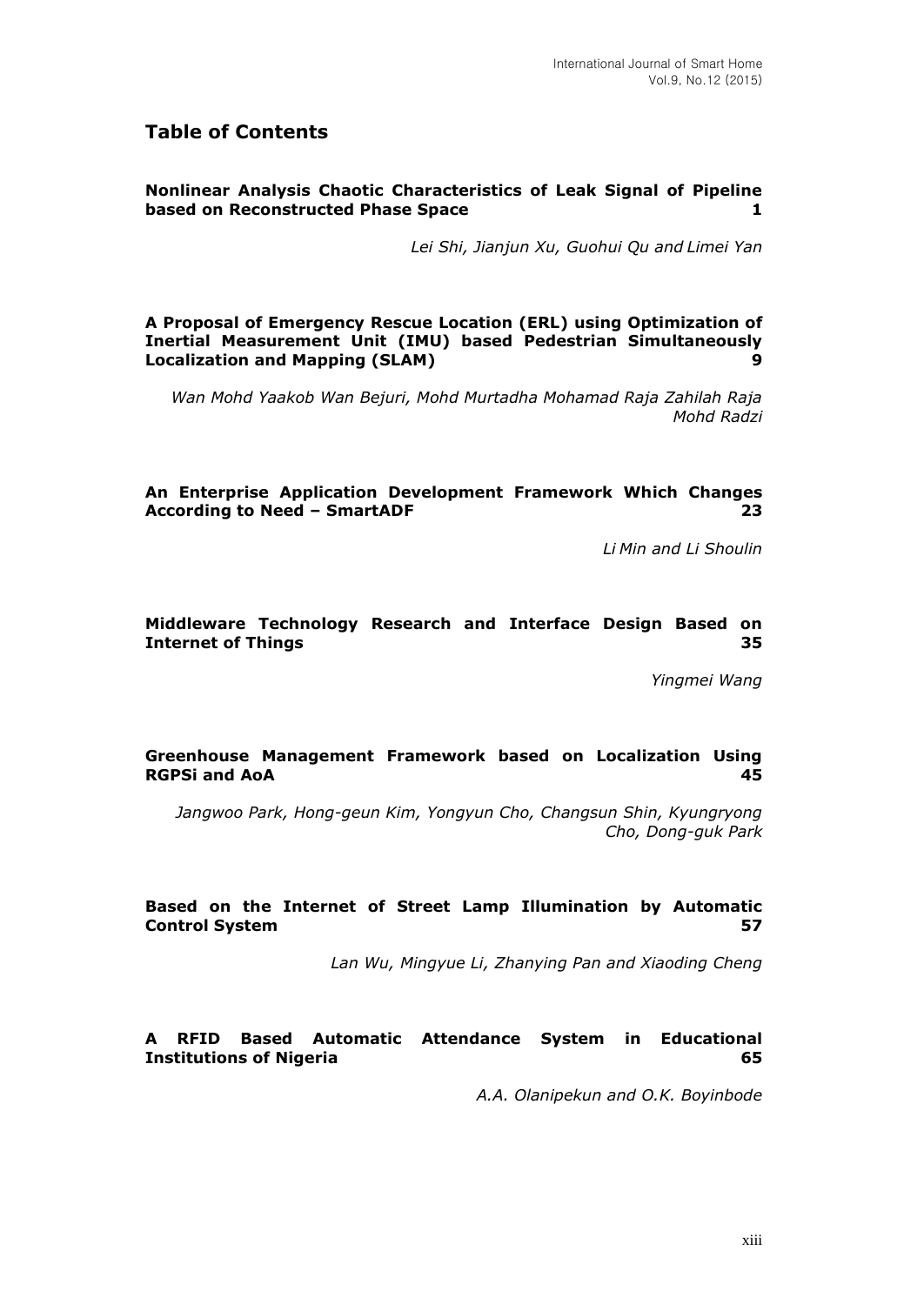# **Table of Contents**

# **Nonlinear Analysis Chaotic Characteristics of Leak Signal of Pipeline based on Reconstructed Phase Space 1**

*Lei Shi, Jianjun Xu, Guohui Qu and Limei Yan*

**A Proposal of Emergency Rescue Location (ERL) using Optimization of Inertial Measurement Unit (IMU) based Pedestrian Simultaneously Localization and Mapping (SLAM) 9**

*Wan Mohd Yaakob Wan Bejuri, Mohd Murtadha Mohamad Raja Zahilah Raja Mohd Radzi*

**An Enterprise Application Development Framework Which Changes According to Need – SmartADF 23**

*Li Min and Li Shoulin*

#### **Middleware Technology Research and Interface Design Based on Internet of Things 35**

*Yingmei Wang*

# **Greenhouse Management Framework based on Localization Using RGPSi and AoA 45**

*Jangwoo Park, Hong-geun Kim, Yongyun Cho, Changsun Shin, Kyungryong Cho, Dong-guk Park*

# **Based on the Internet of Street Lamp Illumination by Automatic Control System 57**

*Lan Wu, Mingyue Li, Zhanying Pan and Xiaoding Cheng*

# **A RFID Based Automatic Attendance System in Educational Institutions of Nigeria 65**

*A.A. Olanipekun and O.K. Boyinbode*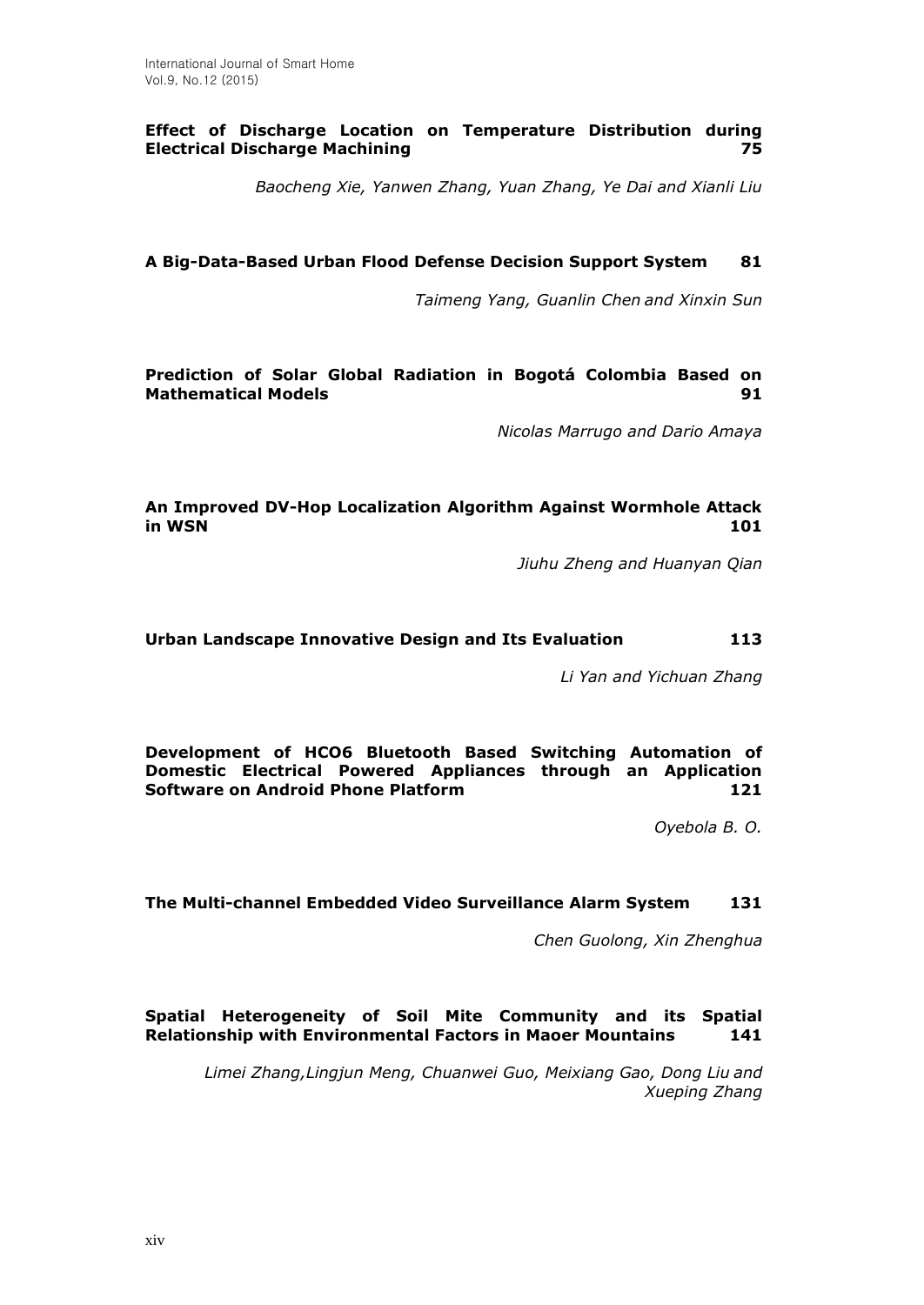# **Effect of Discharge Location on Temperature Distribution during Electrical Discharge Machining 75**

*Baocheng Xie, Yanwen Zhang, Yuan Zhang, Ye Dai and Xianli Liu*

# **A Big-Data-Based Urban Flood Defense Decision Support System 81**

*Taimeng Yang, Guanlin Chen and Xinxin Sun*

**Prediction of Solar Global Radiation in Bogotá Colombia Based on Mathematical Models 91**

*Nicolas Marrugo and Dario Amaya*

# **An Improved DV-Hop Localization Algorithm Against Wormhole Attack in WSN 101**

*Jiuhu Zheng and Huanyan Qian*

#### **Urban Landscape Innovative Design and Its Evaluation 113**

*Li Yan and Yichuan Zhang*

**Development of HCO6 Bluetooth Based Switching Automation of Domestic Electrical Powered Appliances through an Application Software on Android Phone Platform 121**

*Oyebola B. O.*

#### **The Multi-channel Embedded Video Surveillance Alarm System 131**

*Chen Guolong, Xin Zhenghua*

# **Spatial Heterogeneity of Soil Mite Community and its Spatial Relationship with Environmental Factors in Maoer Mountains 141**

*Limei Zhang,Lingjun Meng, Chuanwei Guo, Meixiang Gao, Dong Liu and Xueping Zhang*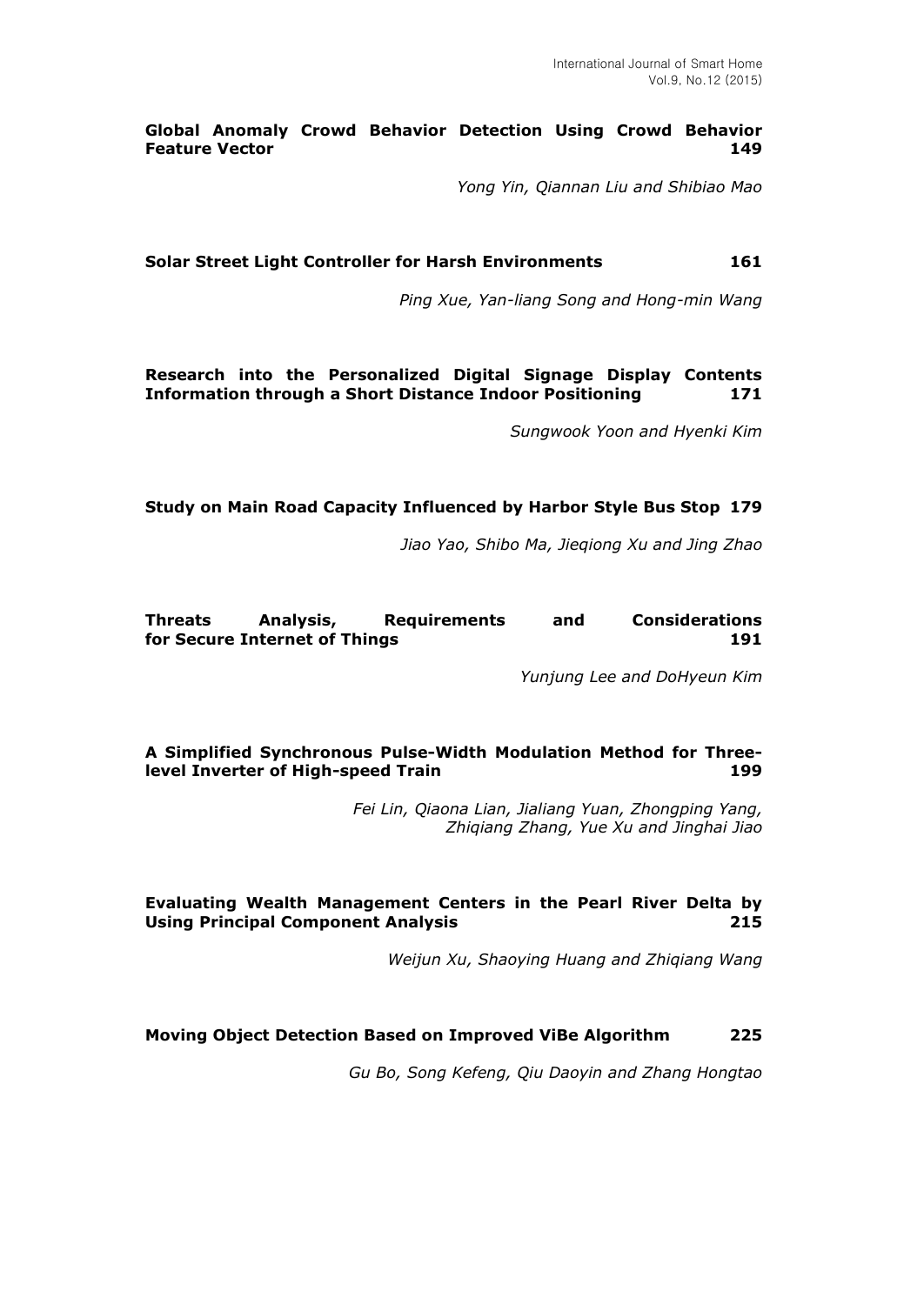# **Global Anomaly Crowd Behavior Detection Using Crowd Behavior Feature Vector 149**

*Yong Yin, Qiannan Liu and Shibiao Mao*

**Solar Street Light Controller for Harsh Environments 161**

*Ping Xue, Yan-liang Song and Hong-min Wang*

**Research into the Personalized Digital Signage Display Contents Information through a Short Distance Indoor Positioning 171**

*Sungwook Yoon and Hyenki Kim*

# **Study on Main Road Capacity Influenced by Harbor Style Bus Stop 179**

*Jiao Yao, Shibo Ma, Jieqiong Xu and Jing Zhao*

#### **Threats Analysis, Requirements and Considerations for Secure Internet of Things 191**

*Yunjung Lee and DoHyeun Kim*

# **A Simplified Synchronous Pulse-Width Modulation Method for Threelevel Inverter of High-speed Train 199**

*Fei Lin, Qiaona Lian, Jialiang Yuan, Zhongping Yang, Zhiqiang Zhang, Yue Xu and Jinghai Jiao*

# **Evaluating Wealth Management Centers in the Pearl River Delta by Using Principal Component Analysis 215**

*Weijun Xu, Shaoying Huang and Zhiqiang Wang*

# **Moving Object Detection Based on Improved ViBe Algorithm 225**

*Gu Bo, Song Kefeng, Qiu Daoyin and Zhang Hongtao*